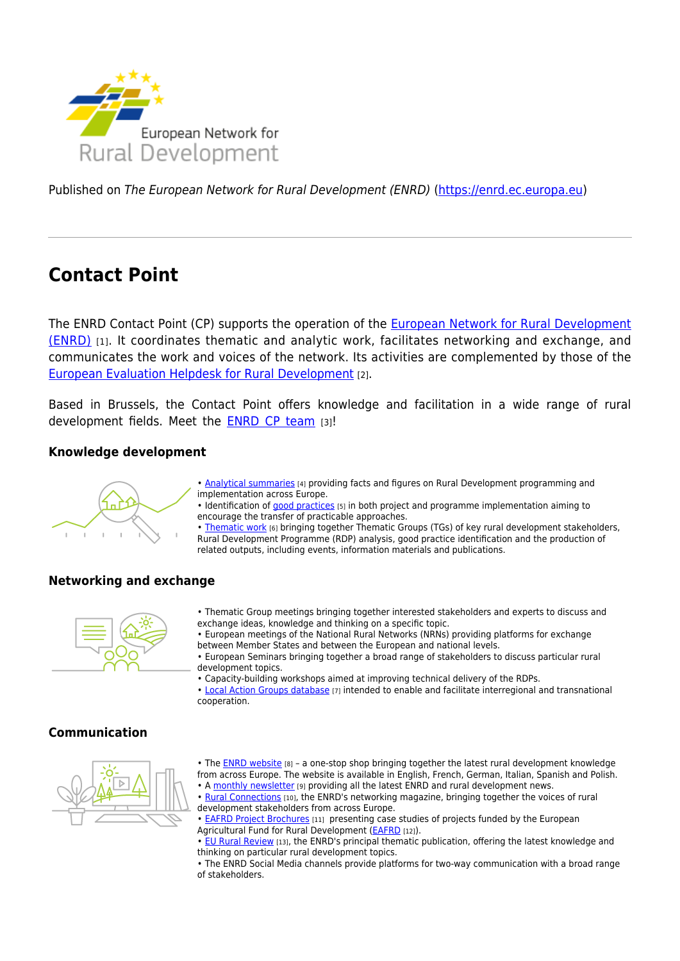

Published on The European Network for Rural Development (ENRD) [\(https://enrd.ec.europa.eu](https://enrd.ec.europa.eu))

# **Contact Point**

The ENRD Contact Point (CP) supports the operation of the [European Network for Rural Development](https://enrd.ec.europa.eu/about/brief_en) [\(ENRD\)](https://enrd.ec.europa.eu/about/brief_en) [1]. It coordinates thematic and analytic work, facilitates networking and exchange, and communicates the work and voices of the network. Its activities are complemented by those of the [European Evaluation Helpdesk for Rural Development](https://enrd.ec.europa.eu/evaluation_en) [2].

Based in Brussels, the Contact Point offers knowledge and facilitation in a wide range of rural development fields. Meet the [ENRD CP team](https://enrd.ec.europa.eu/contact/enrd-contact-point_en) [3]!

## **Knowledge development**



- • [Analytical summaries](https://enrd.ec.europa.eu/policy-in-action/rural-development-policy-figures_en) [4] providing facts and figures on Rural Development programming and implementation across Europe.
- Identification of [good practices](https://enrd.ec.europa.eu/policy-in-action/projects-practice_en) [5] in both project and programme implementation aiming to encourage the transfer of practicable approaches.
- • [Thematic work](https://enrd.ec.europa.eu/enrd-thematic-work_en) [6] bringing together Thematic Groups (TGs) of key rural development stakeholders, Rural Development Programme (RDP) analysis, good practice identification and the production of related outputs, including events, information materials and publications.

# **Networking and exchange**



- Thematic Group meetings bringing together interested stakeholders and experts to discuss and exchange ideas, knowledge and thinking on a specific topic.
- European meetings of the National Rural Networks (NRNs) providing platforms for exchange
- between Member States and between the European and national levels.
- European Seminars bringing together a broad range of stakeholders to discuss particular rural development topics.
- Capacity-building workshops aimed at improving technical delivery of the RDPs.
- • [Local Action Groups database](https://enrd.ec.europa.eu/leader-clld/lag-database/_en) [7] intended to enable and facilitate interregional and transnational cooperation.

#### **Communication**



- The **ENRD website** [8] a one-stop shop bringing together the latest rural development knowledge from across Europe. The website is available in English, French, German, Italian, Spanish and Polish.
- A [monthly newsletter](https://enrd.ec.europa.eu/news-events/enrd-newsletter_en) [9] providing all the latest ENRD and rural development news.
- • [Rural Connections](https://enrd.ec.europa.eu/publications/rural-connections-magazine_en) [10], the ENRD's networking magazine, bringing together the voices of rural development stakeholders from across Europe.
- • [EAFRD Project Brochures](https://enrd.ec.europa.eu/publications/eafrd-projects-brochure_en) [11] presenting case studies of projects funded by the European Agricultural Fund for Rural Development [\(EAFRD](https://ec.europa.eu/agriculture/cap-funding_en) [12]).
- • [EU Rural Review](https://enrd.ec.europa.eu/publications/eu-rural-review_en) [13], the ENRD's principal thematic publication, offering the latest knowledge and thinking on particular rural development topics.
- The ENRD Social Media channels provide platforms for two-way communication with a broad range of stakeholders.